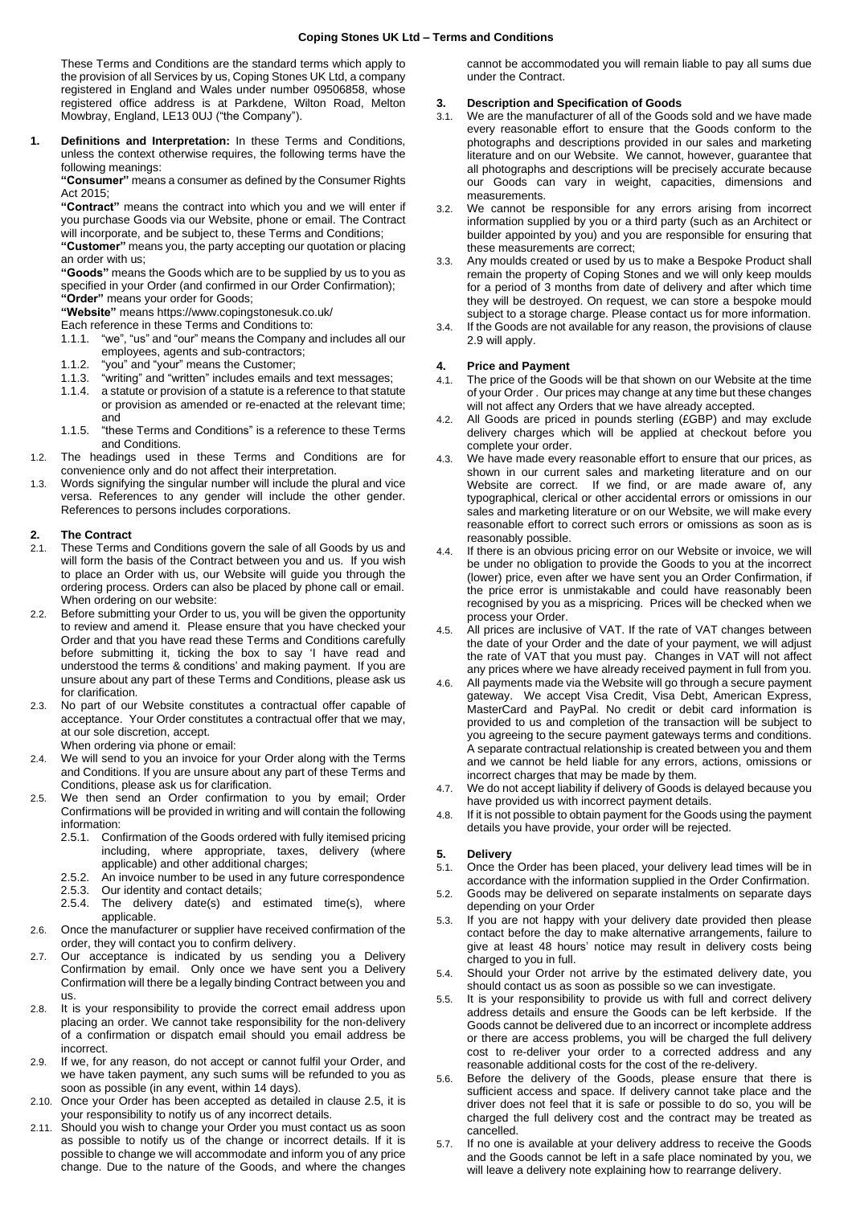These Terms and Conditions are the standard terms which apply to the provision of all Services by us, Coping Stones UK Ltd, a company registered in England and Wales under number 09506858, whose registered office address is at Parkdene, Wilton Road, Melton Mowbray, England, LE13 0UJ ("the Company").

**1. Definitions and Interpretation:** In these Terms and Conditions, unless the context otherwise requires, the following terms have the following meanings:

**"Consumer"** means a consumer as defined by the Consumer Rights Act 2015;

**"Contract"** means the contract into which you and we will enter if you purchase Goods via our Website, phone or email. The Contract will incorporate, and be subject to, these Terms and Conditions;

**"Customer"** means you, the party accepting our quotation or placing an order with us;

**"Goods"** means the Goods which are to be supplied by us to you as specified in your Order (and confirmed in our Order Confirmation); **"Order"** means your order for Goods;

**"Website"** means https://www.copingstonesuk.co.uk/

Each reference in these Terms and Conditions to:

- 1.1.1. "we", "us" and "our" means the Company and includes all our employees, agents and sub-contractors;
- 1.1.2. "you" and "your" means the Customer;
- 1.1.3. "writing" and "written" includes emails and text messages;
- a statute or provision of a statute is a reference to that statute or provision as amended or re-enacted at the relevant time; and
- 1.1.5. "these Terms and Conditions" is a reference to these Terms and Conditions.
- 1.2. The headings used in these Terms and Conditions are for convenience only and do not affect their interpretation.
- 1.3. Words signifying the singular number will include the plural and vice versa. References to any gender will include the other gender. References to persons includes corporations.

#### **2. The Contract**

- 2.1. These Terms and Conditions govern the sale of all Goods by us and will form the basis of the Contract between you and us. If you wish to place an Order with us, our Website will guide you through the ordering process. Orders can also be placed by phone call or email. When ordering on our website:
- 2.2. Before submitting your Order to us, you will be given the opportunity to review and amend it. Please ensure that you have checked your Order and that you have read these Terms and Conditions carefully before submitting it, ticking the box to say 'I have read and understood the terms & conditions' and making payment. If you are unsure about any part of these Terms and Conditions, please ask us for clarification.
- 2.3. No part of our Website constitutes a contractual offer capable of acceptance. Your Order constitutes a contractual offer that we may, at our sole discretion, accept.

When ordering via phone or email:

- 2.4. We will send to you an invoice for your Order along with the Terms and Conditions. If you are unsure about any part of these Terms and Conditions, please ask us for clarification.
- 2.5. We then send an Order confirmation to you by email; Order Confirmations will be provided in writing and will contain the following information:
	- 2.5.1. Confirmation of the Goods ordered with fully itemised pricing<br>including, where appropriate, taxes, delivery (where including, where appropriate, taxes, applicable) and other additional charges;
	- 2.5.2. An invoice number to be used in any future correspondence
	-
	- 2.5.3. Our identity and contact details;<br>2.5.4. The delivery date(s) and The delivery date(s) and estimated time(s), where applicable.
- 2.6. Once the manufacturer or supplier have received confirmation of the order, they will contact you to confirm delivery.
- 2.7. Our acceptance is indicated by us sending you a Delivery Confirmation by email. Only once we have sent you a Delivery Confirmation will there be a legally binding Contract between you and us.
- 2.8. It is your responsibility to provide the correct email address upon placing an order. We cannot take responsibility for the non-delivery of a confirmation or dispatch email should you email address be incorrect.
- 2.9. If we, for any reason, do not accept or cannot fulfil your Order, and we have taken payment, any such sums will be refunded to you as soon as possible (in any event, within 14 days).
- 2.10. Once your Order has been accepted as detailed in clause 2.5, it is your responsibility to notify us of any incorrect details.
- 2.11. Should you wish to change your Order you must contact us as soon as possible to notify us of the change or incorrect details. If it is possible to change we will accommodate and inform you of any price change. Due to the nature of the Goods, and where the changes

cannot be accommodated you will remain liable to pay all sums due under the Contract.

# **3. Description and Specification of Goods**

- We are the manufacturer of all of the Goods sold and we have made every reasonable effort to ensure that the Goods conform to the photographs and descriptions provided in our sales and marketing literature and on our Website. We cannot, however, guarantee that all photographs and descriptions will be precisely accurate because our Goods can vary in weight, capacities, dimensions and measurements.
- 3.2. We cannot be responsible for any errors arising from incorrect information supplied by you or a third party (such as an Architect or builder appointed by you) and you are responsible for ensuring that these measurements are correct;
- 3.3. Any moulds created or used by us to make a Bespoke Product shall remain the property of Coping Stones and we will only keep moulds for a period of 3 months from date of delivery and after which time they will be destroyed. On request, we can store a bespoke mould subject to a storage charge. Please contact us for more information.
- 3.4. If the Goods are not available for any reason, the provisions of clause 2.9 will apply.

#### **4. Price and Payment**

- 4.1. The price of the Goods will be that shown on our Website at the time of your Order . Our prices may change at any time but these changes will not affect any Orders that we have already accepted.
- 4.2. All Goods are priced in pounds sterling (£GBP) and may exclude delivery charges which will be applied at checkout before you complete your order.
- 4.3. We have made every reasonable effort to ensure that our prices, as shown in our current sales and marketing literature and on our Website are correct. If we find, or are made aware of, any typographical, clerical or other accidental errors or omissions in our sales and marketing literature or on our Website, we will make every reasonable effort to correct such errors or omissions as soon as is reasonably possible.
- 4.4. If there is an obvious pricing error on our Website or invoice, we will be under no obligation to provide the Goods to you at the incorrect (lower) price, even after we have sent you an Order Confirmation, if the price error is unmistakable and could have reasonably been recognised by you as a mispricing. Prices will be checked when we process your Order.
- 4.5. All prices are inclusive of VAT. If the rate of VAT changes between the date of your Order and the date of your payment, we will adjust the rate of VAT that you must pay. Changes in VAT will not affect any prices where we have already received payment in full from you.
- All payments made via the Website will go through a secure payment gateway. We accept Visa Credit, Visa Debt, American Express, MasterCard and PayPal. No credit or debit card information is provided to us and completion of the transaction will be subject to you agreeing to the secure payment gateways terms and conditions. A separate contractual relationship is created between you and them and we cannot be held liable for any errors, actions, omissions or incorrect charges that may be made by them.
- 4.7. We do not accept liability if delivery of Goods is delayed because you have provided us with incorrect payment details.
- 4.8. If it is not possible to obtain payment for the Goods using the payment details you have provide, your order will be rejected.

#### **5. Delivery**

- 5.1. Once the Order has been placed, your delivery lead times will be in accordance with the information supplied in the Order Confirmation.
- 5.2. Goods may be delivered on separate instalments on separate days depending on your Order
- 5.3. If you are not happy with your delivery date provided then please contact before the day to make alternative arrangements, failure to give at least 48 hours' notice may result in delivery costs being charged to you in full.
- 5.4. Should your Order not arrive by the estimated delivery date, you should contact us as soon as possible so we can investigate.
- 5.5. It is your responsibility to provide us with full and correct delivery address details and ensure the Goods can be left kerbside. If the Goods cannot be delivered due to an incorrect or incomplete address or there are access problems, you will be charged the full delivery cost to re-deliver your order to a corrected address and any reasonable additional costs for the cost of the re-delivery.
- 5.6. Before the delivery of the Goods, please ensure that there is sufficient access and space. If delivery cannot take place and the driver does not feel that it is safe or possible to do so, you will be charged the full delivery cost and the contract may be treated as cancelled.
- 5.7. If no one is available at your delivery address to receive the Goods and the Goods cannot be left in a safe place nominated by you, we will leave a delivery note explaining how to rearrange delivery.